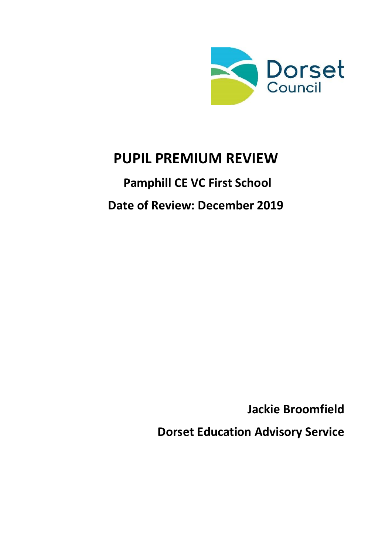

# **PUPIL PREMIUM REVIEW**

# **Pamphill CE VC First School Date of Review: December 2019**

**Jackie Broomfield**

**Dorset Education Advisory Service**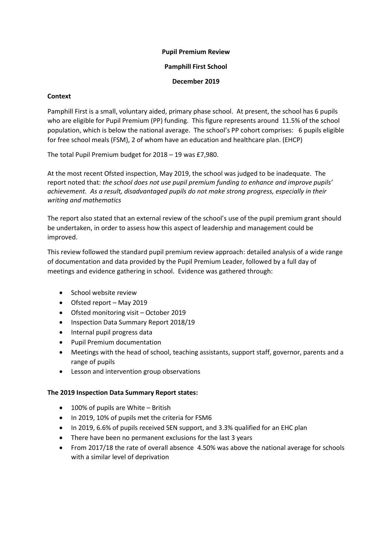# **Pupil Premium Review**

# **Pamphill First School**

# **December 2019**

# **Context**

Pamphill First is a small, voluntary aided, primary phase school. At present, the school has 6 pupils who are eligible for Pupil Premium (PP) funding. This figure represents around 11.5% of the school population, which is below the national average. The school's PP cohort comprises: 6 pupils eligible for free school meals (FSM), 2 of whom have an education and healthcare plan. (EHCP)

The total Pupil Premium budget for 2018 – 19 was £7,980.

At the most recent Ofsted inspection, May 2019, the school was judged to be inadequate. The report noted that: *the school does not use pupil premium funding to enhance and improve pupils' achievement. As a result, disadvantaged pupils do not make strong progress, especially in their writing and mathematics*

The report also stated that an external review of the school's use of the pupil premium grant should be undertaken, in order to assess how this aspect of leadership and management could be improved.

This review followed the standard pupil premium review approach: detailed analysis of a wide range of documentation and data provided by the Pupil Premium Leader, followed by a full day of meetings and evidence gathering in school. Evidence was gathered through:

- School website review
- Ofsted report May 2019
- Ofsted monitoring visit October 2019
- Inspection Data Summary Report 2018/19
- Internal pupil progress data
- Pupil Premium documentation
- Meetings with the head of school, teaching assistants, support staff, governor, parents and a range of pupils
- **•** Lesson and intervention group observations

# **The 2019 Inspection Data Summary Report states:**

- 100% of pupils are White British
- In 2019, 10% of pupils met the criteria for FSM6
- In 2019, 6.6% of pupils received SEN support, and 3.3% qualified for an EHC plan
- There have been no permanent exclusions for the last 3 years
- From 2017/18 the rate of overall absence 4.50% was above the national average for schools with a similar level of deprivation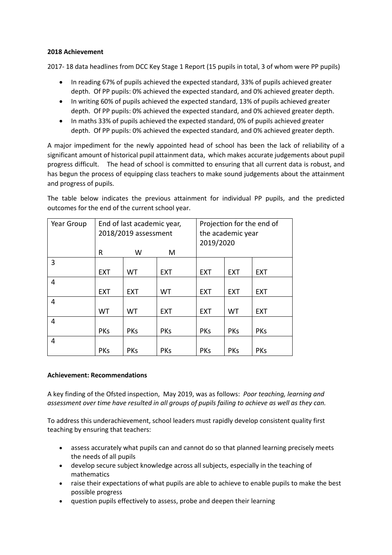# **2018 Achievement**

2017- 18 data headlines from DCC Key Stage 1 Report (15 pupils in total, 3 of whom were PP pupils)

- In reading 67% of pupils achieved the expected standard, 33% of pupils achieved greater depth. Of PP pupils: 0% achieved the expected standard, and 0% achieved greater depth.
- In writing 60% of pupils achieved the expected standard, 13% of pupils achieved greater depth. Of PP pupils: 0% achieved the expected standard, and 0% achieved greater depth.
- In maths 33% of pupils achieved the expected standard, 0% of pupils achieved greater depth. Of PP pupils: 0% achieved the expected standard, and 0% achieved greater depth.

A major impediment for the newly appointed head of school has been the lack of reliability of a significant amount of historical pupil attainment data, which makes accurate judgements about pupil progress difficult. The head of school is committed to ensuring that all current data is robust, and has begun the process of equipping class teachers to make sound judgements about the attainment and progress of pupils.

The table below indicates the previous attainment for individual PP pupils, and the predicted outcomes for the end of the current school year.

| Year Group | End of last academic year,<br>2018/2019 assessment |            |            | Projection for the end of<br>the academic year<br>2019/2020 |            |            |
|------------|----------------------------------------------------|------------|------------|-------------------------------------------------------------|------------|------------|
|            | R                                                  | W          | M          |                                                             |            |            |
| 3          |                                                    |            |            |                                                             |            |            |
|            | <b>EXT</b>                                         | WT         | <b>EXT</b> | <b>EXT</b>                                                  | <b>EXT</b> | <b>EXT</b> |
| 4          |                                                    |            |            |                                                             |            |            |
|            | <b>EXT</b>                                         | <b>EXT</b> | WT         | <b>EXT</b>                                                  | <b>EXT</b> | <b>EXT</b> |
| 4          |                                                    |            |            |                                                             |            |            |
|            | WT                                                 | WT         | <b>EXT</b> | <b>EXT</b>                                                  | <b>WT</b>  | <b>EXT</b> |
| 4          |                                                    |            |            |                                                             |            |            |
|            | <b>PKs</b>                                         | <b>PKs</b> | <b>PKs</b> | <b>PKs</b>                                                  | <b>PKs</b> | <b>PKs</b> |
| 4          |                                                    |            |            |                                                             |            |            |
|            | <b>PKs</b>                                         | <b>PKs</b> | <b>PKs</b> | <b>PKs</b>                                                  | <b>PKs</b> | <b>PKs</b> |

# **Achievement: Recommendations**

A key finding of the Ofsted inspection, May 2019, was as follows: *Poor teaching, learning and assessment over time have resulted in all groups of pupils failing to achieve as well as they can.*

To address this underachievement, school leaders must rapidly develop consistent quality first teaching by ensuring that teachers:

- assess accurately what pupils can and cannot do so that planned learning precisely meets the needs of all pupils
- develop secure subject knowledge across all subjects, especially in the teaching of mathematics
- raise their expectations of what pupils are able to achieve to enable pupils to make the best possible progress
- question pupils effectively to assess, probe and deepen their learning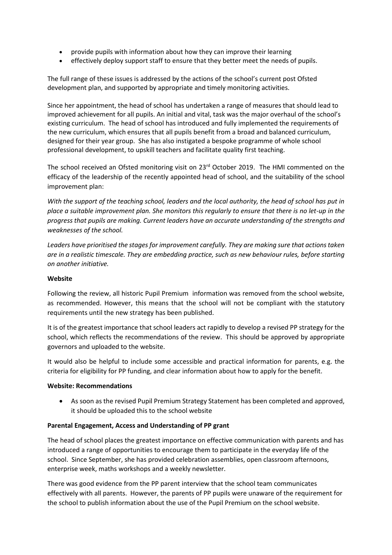- provide pupils with information about how they can improve their learning
- effectively deploy support staff to ensure that they better meet the needs of pupils.

The full range of these issues is addressed by the actions of the school's current post Ofsted development plan, and supported by appropriate and timely monitoring activities.

Since her appointment, the head of school has undertaken a range of measures that should lead to improved achievement for all pupils. An initial and vital, task was the major overhaul of the school's existing curriculum. The head of school has introduced and fully implemented the requirements of the new curriculum, which ensures that all pupils benefit from a broad and balanced curriculum, designed for their year group. She has also instigated a bespoke programme of whole school professional development, to upskill teachers and facilitate quality first teaching.

The school received an Ofsted monitoring visit on 23<sup>rd</sup> October 2019. The HMI commented on the efficacy of the leadership of the recently appointed head of school, and the suitability of the school improvement plan:

*With the support of the teaching school, leaders and the local authority, the head of school has put in place a suitable improvement plan. She monitors this regularly to ensure that there is no let-up in the progress that pupils are making. Current leaders have an accurate understanding of the strengths and weaknesses of the school.* 

*Leaders have prioritised the stages for improvement carefully. They are making sure that actions taken are in a realistic timescale. They are embedding practice, such as new behaviour rules, before starting on another initiative.* 

# **Website**

Following the review, all historic Pupil Premium information was removed from the school website, as recommended. However, this means that the school will not be compliant with the statutory requirements until the new strategy has been published.

It is of the greatest importance that school leaders act rapidly to develop a revised PP strategy for the school, which reflects the recommendations of the review. This should be approved by appropriate governors and uploaded to the website.

It would also be helpful to include some accessible and practical information for parents, e.g. the criteria for eligibility for PP funding, and clear information about how to apply for the benefit.

# **Website: Recommendations**

 As soon as the revised Pupil Premium Strategy Statement has been completed and approved, it should be uploaded this to the school website

# **Parental Engagement, Access and Understanding of PP grant**

The head of school places the greatest importance on effective communication with parents and has introduced a range of opportunities to encourage them to participate in the everyday life of the school. Since September, she has provided celebration assemblies, open classroom afternoons, enterprise week, maths workshops and a weekly newsletter.

There was good evidence from the PP parent interview that the school team communicates effectively with all parents. However, the parents of PP pupils were unaware of the requirement for the school to publish information about the use of the Pupil Premium on the school website.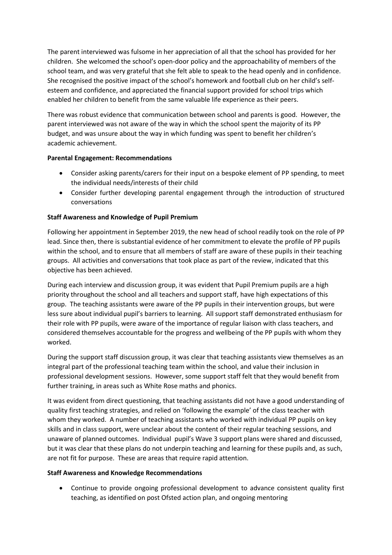The parent interviewed was fulsome in her appreciation of all that the school has provided for her children. She welcomed the school's open-door policy and the approachability of members of the school team, and was very grateful that she felt able to speak to the head openly and in confidence. She recognised the positive impact of the school's homework and football club on her child's selfesteem and confidence, and appreciated the financial support provided for school trips which enabled her children to benefit from the same valuable life experience as their peers.

There was robust evidence that communication between school and parents is good. However, the parent interviewed was not aware of the way in which the school spent the majority of its PP budget, and was unsure about the way in which funding was spent to benefit her children's academic achievement.

# **Parental Engagement: Recommendations**

- Consider asking parents/carers for their input on a bespoke element of PP spending, to meet the individual needs/interests of their child
- Consider further developing parental engagement through the introduction of structured conversations

# **Staff Awareness and Knowledge of Pupil Premium**

Following her appointment in September 2019, the new head of school readily took on the role of PP lead. Since then, there is substantial evidence of her commitment to elevate the profile of PP pupils within the school, and to ensure that all members of staff are aware of these pupils in their teaching groups. All activities and conversations that took place as part of the review, indicated that this objective has been achieved.

During each interview and discussion group, it was evident that Pupil Premium pupils are a high priority throughout the school and all teachers and support staff, have high expectations of this group. The teaching assistants were aware of the PP pupils in their intervention groups, but were less sure about individual pupil's barriers to learning. All support staff demonstrated enthusiasm for their role with PP pupils, were aware of the importance of regular liaison with class teachers, and considered themselves accountable for the progress and wellbeing of the PP pupils with whom they worked.

During the support staff discussion group, it was clear that teaching assistants view themselves as an integral part of the professional teaching team within the school, and value their inclusion in professional development sessions. However, some support staff felt that they would benefit from further training, in areas such as White Rose maths and phonics.

It was evident from direct questioning, that teaching assistants did not have a good understanding of quality first teaching strategies, and relied on 'following the example' of the class teacher with whom they worked. A number of teaching assistants who worked with individual PP pupils on key skills and in class support, were unclear about the content of their regular teaching sessions, and unaware of planned outcomes. Individual pupil's Wave 3 support plans were shared and discussed, but it was clear that these plans do not underpin teaching and learning for these pupils and, as such, are not fit for purpose. These are areas that require rapid attention.

# **Staff Awareness and Knowledge Recommendations**

 Continue to provide ongoing professional development to advance consistent quality first teaching, as identified on post Ofsted action plan, and ongoing mentoring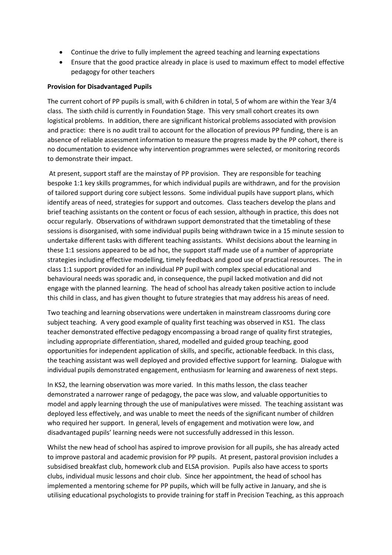- Continue the drive to fully implement the agreed teaching and learning expectations
- Ensure that the good practice already in place is used to maximum effect to model effective pedagogy for other teachers

#### **Provision for Disadvantaged Pupils**

The current cohort of PP pupils is small, with 6 children in total, 5 of whom are within the Year 3/4 class. The sixth child is currently in Foundation Stage. This very small cohort creates its own logistical problems. In addition, there are significant historical problems associated with provision and practice: there is no audit trail to account for the allocation of previous PP funding, there is an absence of reliable assessment information to measure the progress made by the PP cohort, there is no documentation to evidence why intervention programmes were selected, or monitoring records to demonstrate their impact.

At present, support staff are the mainstay of PP provision. They are responsible for teaching bespoke 1:1 key skills programmes, for which individual pupils are withdrawn, and for the provision of tailored support during core subject lessons. Some individual pupils have support plans, which identify areas of need, strategies for support and outcomes. Class teachers develop the plans and brief teaching assistants on the content or focus of each session, although in practice, this does not occur regularly. Observations of withdrawn support demonstrated that the timetabling of these sessions is disorganised, with some individual pupils being withdrawn twice in a 15 minute session to undertake different tasks with different teaching assistants. Whilst decisions about the learning in these 1:1 sessions appeared to be ad hoc, the support staff made use of a number of appropriate strategies including effective modelling, timely feedback and good use of practical resources. The in class 1:1 support provided for an individual PP pupil with complex special educational and behavioural needs was sporadic and, in consequence, the pupil lacked motivation and did not engage with the planned learning. The head of school has already taken positive action to include this child in class, and has given thought to future strategies that may address his areas of need.

Two teaching and learning observations were undertaken in mainstream classrooms during core subject teaching. A very good example of quality first teaching was observed in KS1. The class teacher demonstrated effective pedagogy encompassing a broad range of quality first strategies, including appropriate differentiation, shared, modelled and guided group teaching, good opportunities for independent application of skills, and specific, actionable feedback. In this class, the teaching assistant was well deployed and provided effective support for learning. Dialogue with individual pupils demonstrated engagement, enthusiasm for learning and awareness of next steps.

In KS2, the learning observation was more varied. In this maths lesson, the class teacher demonstrated a narrower range of pedagogy, the pace was slow, and valuable opportunities to model and apply learning through the use of manipulatives were missed. The teaching assistant was deployed less effectively, and was unable to meet the needs of the significant number of children who required her support. In general, levels of engagement and motivation were low, and disadvantaged pupils' learning needs were not successfully addressed in this lesson.

Whilst the new head of school has aspired to improve provision for all pupils, she has already acted to improve pastoral and academic provision for PP pupils. At present, pastoral provision includes a subsidised breakfast club, homework club and ELSA provision. Pupils also have access to sports clubs, individual music lessons and choir club. Since her appointment, the head of school has implemented a mentoring scheme for PP pupils, which will be fully active in January, and she is utilising educational psychologists to provide training for staff in Precision Teaching, as this approach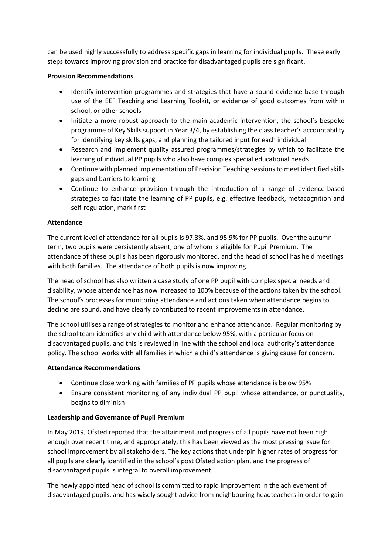can be used highly successfully to address specific gaps in learning for individual pupils. These early steps towards improving provision and practice for disadvantaged pupils are significant.

# **Provision Recommendations**

- Identify intervention programmes and strategies that have a sound evidence base through use of the EEF Teaching and Learning Toolkit, or evidence of good outcomes from within school, or other schools
- Initiate a more robust approach to the main academic intervention, the school's bespoke programme of Key Skills support in Year 3/4, by establishing the class teacher's accountability for identifying key skills gaps, and planning the tailored input for each individual
- Research and implement quality assured programmes/strategies by which to facilitate the learning of individual PP pupils who also have complex special educational needs
- Continue with planned implementation of Precision Teaching sessions to meet identified skills gaps and barriers to learning
- Continue to enhance provision through the introduction of a range of evidence-based strategies to facilitate the learning of PP pupils, e.g. effective feedback, metacognition and self-regulation, mark first

# **Attendance**

The current level of attendance for all pupils is 97.3%, and 95.9% for PP pupils. Over the autumn term, two pupils were persistently absent, one of whom is eligible for Pupil Premium. The attendance of these pupils has been rigorously monitored, and the head of school has held meetings with both families. The attendance of both pupils is now improving.

The head of school has also written a case study of one PP pupil with complex special needs and disability, whose attendance has now increased to 100% because of the actions taken by the school. The school's processes for monitoring attendance and actions taken when attendance begins to decline are sound, and have clearly contributed to recent improvements in attendance.

The school utilises a range of strategies to monitor and enhance attendance. Regular monitoring by the school team identifies any child with attendance below 95%, with a particular focus on disadvantaged pupils, and this is reviewed in line with the school and local authority's attendance policy. The school works with all families in which a child's attendance is giving cause for concern.

# **Attendance Recommendations**

- Continue close working with families of PP pupils whose attendance is below 95%
- Ensure consistent monitoring of any individual PP pupil whose attendance, or punctuality, begins to diminish

# **Leadership and Governance of Pupil Premium**

In May 2019, Ofsted reported that the attainment and progress of all pupils have not been high enough over recent time, and appropriately, this has been viewed as the most pressing issue for school improvement by all stakeholders. The key actions that underpin higher rates of progress for all pupils are clearly identified in the school's post Ofsted action plan, and the progress of disadvantaged pupils is integral to overall improvement.

The newly appointed head of school is committed to rapid improvement in the achievement of disadvantaged pupils, and has wisely sought advice from neighbouring headteachers in order to gain